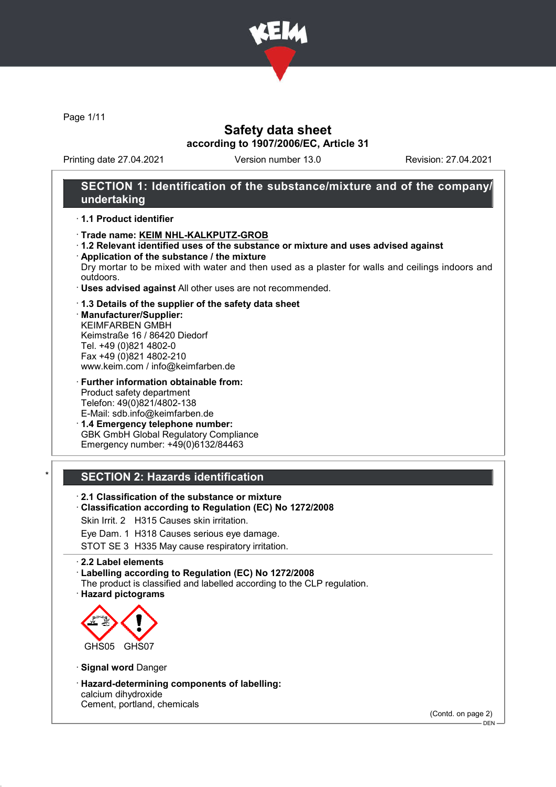

Page 1/11

# Safety data sheet according to 1907/2006/EC, Article 31

Printing date 27.04.2021 Version number 13.0 Revision: 27.04.2021

### SECTION 1: Identification of the substance/mixture and of the company/ undertaking

#### · 1.1 Product identifier

- · Trade name: KEIM NHL-KALKPUTZ-GROB
- · 1.2 Relevant identified uses of the substance or mixture and uses advised against · Application of the substance / the mixture

Dry mortar to be mixed with water and then used as a plaster for walls and ceilings indoors and outdoors.

· Uses advised against All other uses are not recommended.

#### · 1.3 Details of the supplier of the safety data sheet

· Manufacturer/Supplier: KEIMFARBEN GMBH Keimstraße 16 / 86420 Diedorf Tel. +49 (0)821 4802-0 Fax +49 (0)821 4802-210 www.keim.com / info@keimfarben.de

· Further information obtainable from: Product safety department Telefon: 49(0)821/4802-138 E-Mail: sdb.info@keimfarben.de

· 1.4 Emergency telephone number: GBK GmbH Global Regulatory Compliance Emergency number: +49(0)6132/84463

### **SECTION 2: Hazards identification**

- · 2.1 Classification of the substance or mixture
- · Classification according to Regulation (EC) No 1272/2008
- Skin Irrit. 2 H315 Causes skin irritation.
- Eye Dam. 1 H318 Causes serious eye damage.

STOT SE 3 H335 May cause respiratory irritation.

#### · 2.2 Label elements

· Labelling according to Regulation (EC) No 1272/2008

- The product is classified and labelled according to the CLP regulation.
- · Hazard pictograms



- · Signal word Danger
- · Hazard-determining components of labelling: calcium dihydroxide Cement, portland, chemicals

(Contd. on page 2)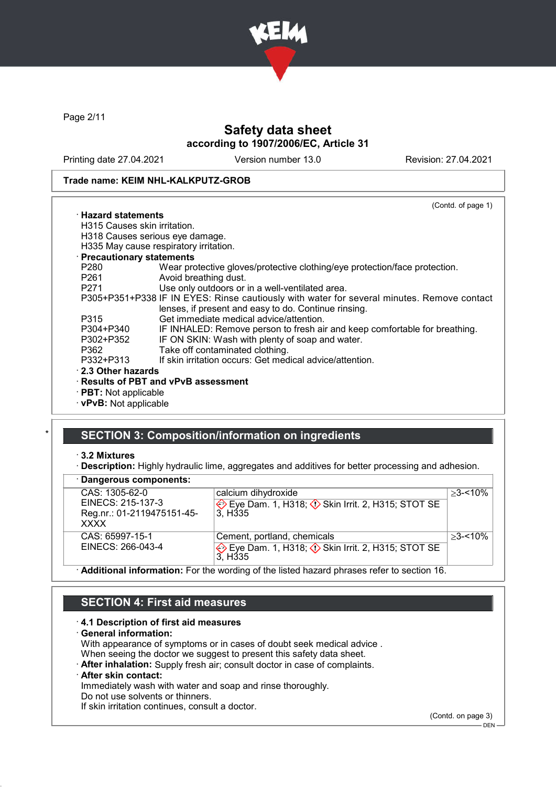

Page 2/11

# Safety data sheet according to 1907/2006/EC, Article 31

Printing date 27.04.2021 Version number 13.0 Revision: 27.04.2021

#### Trade name: KEIM NHL-KALKPUTZ-GROB

(Contd. of page 1) · Hazard statements H315 Causes skin irritation. H318 Causes serious eye damage. H335 May cause respiratory irritation. · Precautionary statements P280 Wear protective gloves/protective clothing/eye protection/face protection.<br>P261 Avoid breathing dust. Avoid breathing dust. P271 Use only outdoors or in a well-ventilated area. P305+P351+P338 IF IN EYES: Rinse cautiously with water for several minutes. Remove contact lenses, if present and easy to do. Continue rinsing. P315 Get immediate medical advice/attention.<br>P304+P340 IF INHALED: Remove person to fresh ai P304+P340 IF INHALED: Remove person to fresh air and keep comfortable for breathing.<br>P302+P352 IF ON SKIN: Wash with plenty of soap and water. IF ON SKIN: Wash with plenty of soap and water. P362 Take off contaminated clothing.<br>P332+P313 If skin irritation occurs: Get med If skin irritation occurs: Get medical advice/attention. · 2.3 Other hazards · Results of PBT and vPvB assessment · PBT: Not applicable · vPvB: Not applicable

# SECTION 3: Composition/information on ingredients

· 3.2 Mixtures

· Description: Highly hydraulic lime, aggregates and additives for better processing and adhesion.

| · Dangerous components:                                                   |                                                                                                                |             |
|---------------------------------------------------------------------------|----------------------------------------------------------------------------------------------------------------|-------------|
| CAS: 1305-62-0<br>EINECS: 215-137-3<br>Reg.nr.: 01-2119475151-45-<br>XXXX | calcium dihydroxide<br>Eye Dam. 1, H318; $\Diamond$ Skin Irrit. 2, H315; STOT SE<br>3. H <sub>335</sub>        | $>3 - 10\%$ |
| CAS: 65997-15-1<br>EINECS: 266-043-4                                      | Cement, portland, chemicals<br>Eye Dam. 1, H318; ♦ Skin Irrit. 2, H315; STOT SE<br>3. H <sub>335</sub>         | $>3 - 10\%$ |
|                                                                           | A delition of informations. For the considers of the listed because through a belonger and the consideration d |             |

 $\cdot$  **Additional information:** For the wording of the listed hazard phrases refer to section 16.

### SECTION 4: First aid measures

#### · 4.1 Description of first aid measures

· General information:

With appearance of symptoms or in cases of doubt seek medical advice .

When seeing the doctor we suggest to present this safety data sheet.

· After inhalation: Supply fresh air; consult doctor in case of complaints.

### After skin contact:

Immediately wash with water and soap and rinse thoroughly.

Do not use solvents or thinners.

If skin irritation continues, consult a doctor.

(Contd. on page 3)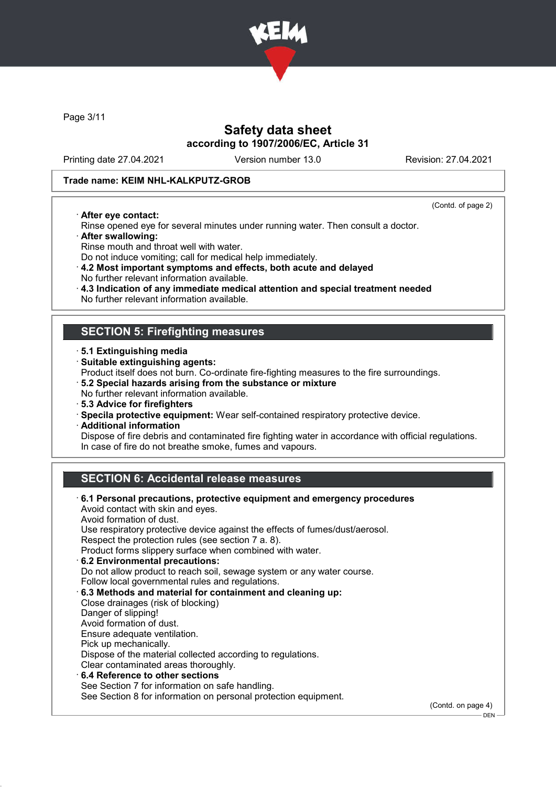

Page 3/11

# Safety data sheet according to 1907/2006/EC, Article 31

Printing date 27.04.2021 Version number 13.0 Revision: 27.04.2021

#### Trade name: KEIM NHL-KALKPUTZ-GROB

· After eye contact:

(Contd. of page 2)

DEN

- Rinse opened eye for several minutes under running water. Then consult a doctor. · After swallowing:
- 
- Rinse mouth and throat well with water.
- Do not induce vomiting; call for medical help immediately.
- · 4.2 Most important symptoms and effects, both acute and delayed No further relevant information available.
- · 4.3 Indication of any immediate medical attention and special treatment needed
- No further relevant information available.

### SECTION 5: Firefighting measures

- · 5.1 Extinguishing media
- · Suitable extinguishing agents:
- Product itself does not burn. Co-ordinate fire-fighting measures to the fire surroundings.
- · 5.2 Special hazards arising from the substance or mixture
- No further relevant information available.
- · 5.3 Advice for firefighters
- · Specila protective equipment: Wear self-contained respiratory protective device.
- · Additional information

Dispose of fire debris and contaminated fire fighting water in accordance with official regulations. In case of fire do not breathe smoke, fumes and vapours.

# SECTION 6: Accidental release measures

| $\cdot$ 6.1 Personal precautions, protective equipment and emergency procedures<br>Avoid contact with skin and eyes.<br>Avoid formation of dust.<br>Use respiratory protective device against the effects of fumes/dust/aerosol.<br>Respect the protection rules (see section 7 a. 8).<br>Product forms slippery surface when combined with water.<br>6.2 Environmental precautions:<br>Do not allow product to reach soil, sewage system or any water course.<br>Follow local governmental rules and regulations.<br>6.3 Methods and material for containment and cleaning up:<br>Close drainages (risk of blocking)<br>Danger of slipping!<br>Avoid formation of dust.<br>Ensure adequate ventilation.<br>Pick up mechanically.<br>Dispose of the material collected according to regulations.<br>Clear contaminated areas thoroughly. |                    |
|------------------------------------------------------------------------------------------------------------------------------------------------------------------------------------------------------------------------------------------------------------------------------------------------------------------------------------------------------------------------------------------------------------------------------------------------------------------------------------------------------------------------------------------------------------------------------------------------------------------------------------------------------------------------------------------------------------------------------------------------------------------------------------------------------------------------------------------|--------------------|
|                                                                                                                                                                                                                                                                                                                                                                                                                                                                                                                                                                                                                                                                                                                                                                                                                                          |                    |
| $\cdot$ 6.4 Reference to other sections                                                                                                                                                                                                                                                                                                                                                                                                                                                                                                                                                                                                                                                                                                                                                                                                  |                    |
| See Section 7 for information on safe handling.                                                                                                                                                                                                                                                                                                                                                                                                                                                                                                                                                                                                                                                                                                                                                                                          |                    |
| See Section 8 for information on personal protection equipment.                                                                                                                                                                                                                                                                                                                                                                                                                                                                                                                                                                                                                                                                                                                                                                          | (Contd. on page 4) |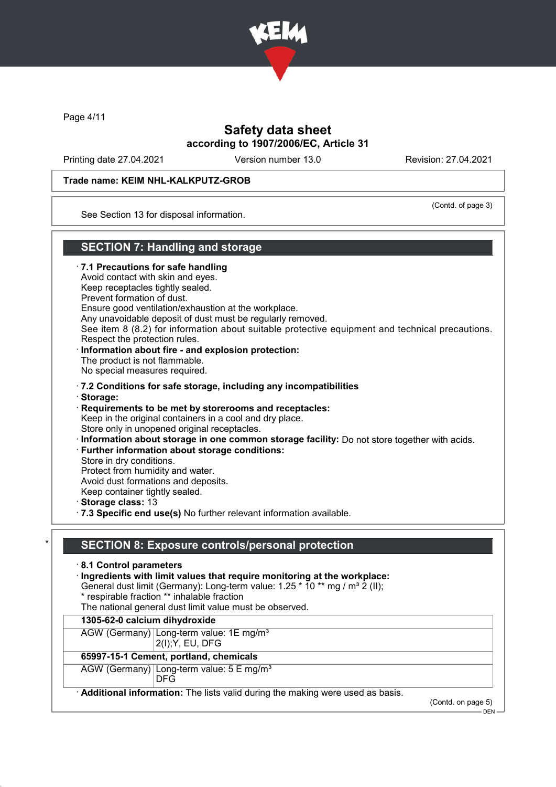

Page 4/11

# Safety data sheet according to 1907/2006/EC, Article 31

Printing date 27.04.2021 Version number 13.0 Revision: 27.04.2021

#### Trade name: KEIM NHL-KALKPUTZ-GROB

(Contd. of page 3)

See Section 13 for disposal information.

# SECTION 7: Handling and storage

· 7.1 Precautions for safe handling Avoid contact with skin and eyes. Keep receptacles tightly sealed. Prevent formation of dust. Ensure good ventilation/exhaustion at the workplace. Any unavoidable deposit of dust must be regularly removed. See item 8 (8.2) for information about suitable protective equipment and technical precautions. Respect the protection rules. Information about fire - and explosion protection: The product is not flammable. No special measures required. · 7.2 Conditions for safe storage, including any incompatibilities · Storage: · Requirements to be met by storerooms and receptacles: Keep in the original containers in a cool and dry place. Store only in unopened original receptacles. · Information about storage in one common storage facility: Do not store together with acids. · Further information about storage conditions: Store in dry conditions. Protect from humidity and water. Avoid dust formations and deposits. Keep container tightly sealed. · Storage class: 13 · 7.3 Specific end use(s) No further relevant information available.

### SECTION 8: Exposure controls/personal protection

- · 8.1 Control parameters
- · Ingredients with limit values that require monitoring at the workplace:
- General dust limit (Germany): Long-term value:  $1.25 * 10 **$  mg / m<sup>3</sup> 2 (II);
	- \* respirable fraction \*\* inhalable fraction
	- The national general dust limit value must be observed.

#### 1305-62-0 calcium dihydroxide

AGW (Germany) Long-term value: 1E mg/m<sup>3</sup>

2(I);Y, EU, DFG

### 65997-15-1 Cement, portland, chemicals

AGW (Germany) Long-term value: 5 E mg/m<sup>3</sup>

DFG

Additional information: The lists valid during the making were used as basis.

(Contd. on page 5)

DEN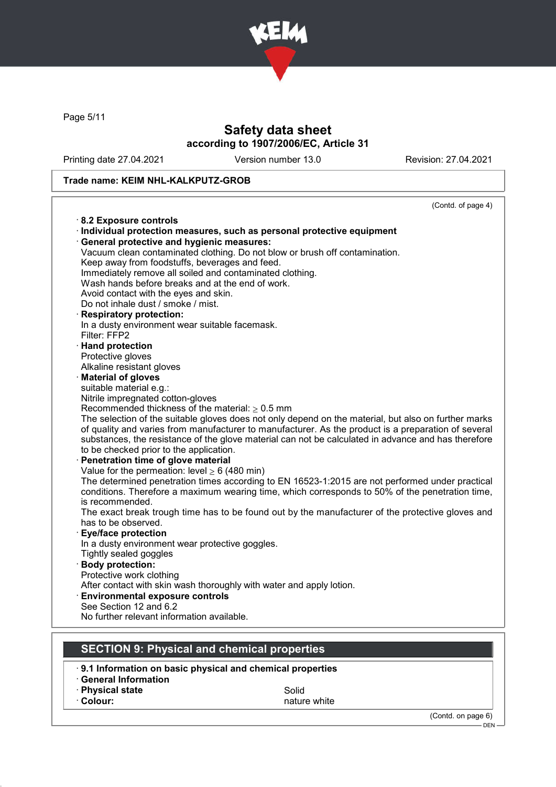

Page 5/11

# Safety data sheet according to 1907/2006/EC, Article 31

Printing date 27.04.2021 Version number 13.0 Revision: 27.04.2021

### Trade name: KEIM NHL-KALKPUTZ-GROB

|                                                                                                      | (Contd. of page 4) |
|------------------------------------------------------------------------------------------------------|--------------------|
| 8.2 Exposure controls                                                                                |                    |
| · Individual protection measures, such as personal protective equipment                              |                    |
| · General protective and hygienic measures:                                                          |                    |
| Vacuum clean contaminated clothing. Do not blow or brush off contamination.                          |                    |
| Keep away from foodstuffs, beverages and feed.                                                       |                    |
| Immediately remove all soiled and contaminated clothing.                                             |                    |
| Wash hands before breaks and at the end of work.                                                     |                    |
| Avoid contact with the eyes and skin.                                                                |                    |
| Do not inhale dust / smoke / mist.                                                                   |                    |
| · Respiratory protection:                                                                            |                    |
| In a dusty environment wear suitable facemask.                                                       |                    |
| Filter: FFP2                                                                                         |                    |
| · Hand protection                                                                                    |                    |
| Protective gloves                                                                                    |                    |
| Alkaline resistant gloves                                                                            |                    |
| · Material of gloves<br>suitable material e.g.:                                                      |                    |
| Nitrile impregnated cotton-gloves                                                                    |                    |
| Recommended thickness of the material: $\geq 0.5$ mm                                                 |                    |
| The selection of the suitable gloves does not only depend on the material, but also on further marks |                    |
| of quality and varies from manufacturer to manufacturer. As the product is a preparation of several  |                    |
| substances, the resistance of the glove material can not be calculated in advance and has therefore  |                    |
| to be checked prior to the application.                                                              |                    |
| · Penetration time of glove material                                                                 |                    |
| Value for the permeation: level $\geq 6$ (480 min)                                                   |                    |
| The determined penetration times according to EN 16523-1:2015 are not performed under practical      |                    |
| conditions. Therefore a maximum wearing time, which corresponds to 50% of the penetration time,      |                    |
| is recommended.                                                                                      |                    |
| The exact break trough time has to be found out by the manufacturer of the protective gloves and     |                    |
| has to be observed.                                                                                  |                    |
| <b>Eye/face protection</b>                                                                           |                    |
| In a dusty environment wear protective goggles.                                                      |                    |
| Tightly sealed goggles                                                                               |                    |
| · Body protection:                                                                                   |                    |
| Protective work clothing                                                                             |                    |
| After contact with skin wash thoroughly with water and apply lotion.                                 |                    |
| <b>Environmental exposure controls</b>                                                               |                    |
| See Section 12 and 6.2<br>No further relevant information available.                                 |                    |
|                                                                                                      |                    |
|                                                                                                      |                    |
| <b>SECTION 9: Physical and chemical properties</b>                                                   |                    |
|                                                                                                      |                    |

**· Physical state Solid** 

• Colour: nature white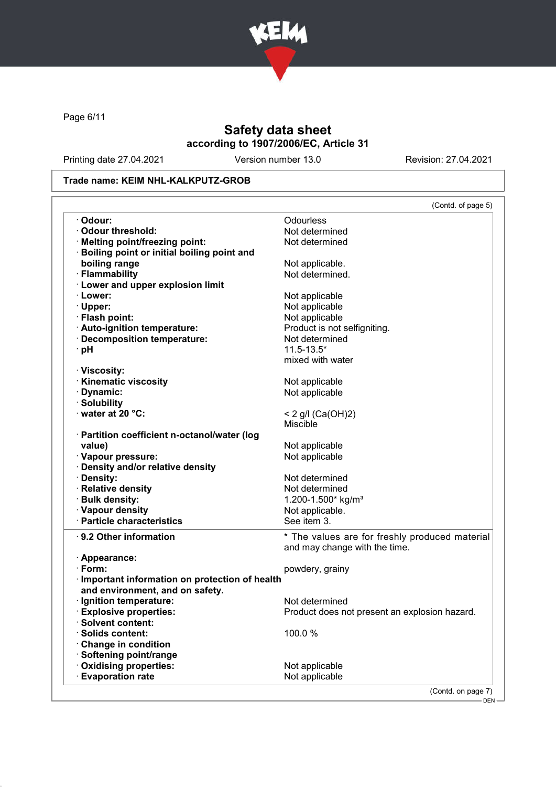

Page 6/11

# Safety data sheet according to 1907/2006/EC, Article 31

Printing date 27.04.2021 Version number 13.0 Revision: 27.04.2021

### Trade name: KEIM NHL-KALKPUTZ-GROB

|                                                         | (Contd. of page 5)                             |
|---------------------------------------------------------|------------------------------------------------|
| · Odour:                                                | Odourless                                      |
| Odour threshold:                                        | Not determined                                 |
| · Melting point/freezing point:                         | Not determined                                 |
| Boiling point or initial boiling point and              |                                                |
| boiling range                                           | Not applicable.                                |
| · Flammability                                          | Not determined.                                |
| · Lower and upper explosion limit                       |                                                |
| · Lower:                                                | Not applicable                                 |
| · Upper:                                                | Not applicable                                 |
| · Flash point:                                          | Not applicable                                 |
| · Auto-ignition temperature:                            | Product is not selfigniting.                   |
| · Decomposition temperature:                            | Not determined                                 |
| · pH                                                    | $11.5 - 13.5*$                                 |
|                                                         | mixed with water                               |
| · Viscosity:                                            |                                                |
| <b>Kinematic viscosity</b>                              | Not applicable                                 |
| Dynamic:                                                | Not applicable                                 |
| · Solubility                                            |                                                |
| $\cdot$ water at 20 °C:                                 | < 2 g/l (Ca(OH)2)                              |
|                                                         | <b>Miscible</b>                                |
| · Partition coefficient n-octanol/water (log            |                                                |
| value)                                                  |                                                |
|                                                         | Not applicable                                 |
| · Vapour pressure:                                      | Not applicable                                 |
| · Density and/or relative density                       |                                                |
| · Density:                                              | Not determined                                 |
| · Relative density                                      | Not determined                                 |
| · Bulk density:                                         | 1.200-1.500* kg/m <sup>3</sup>                 |
| · Vapour density                                        | Not applicable.                                |
| · Particle characteristics                              | See item 3.                                    |
| ⋅ 9.2 Other information                                 | * The values are for freshly produced material |
|                                                         | and may change with the time.                  |
| · Appearance:                                           |                                                |
| $\cdot$ Form:                                           | powdery, grainy                                |
| Important information on protection of health           |                                                |
| and environment, and on safety.                         |                                                |
| · Ignition temperature:                                 | Not determined                                 |
| <b>Explosive properties:</b>                            | Product does not present an explosion hazard.  |
| <b>Solvent content:</b>                                 |                                                |
| <b>Solids content:</b>                                  | 100.0%                                         |
| <b>Change in condition</b>                              |                                                |
| Softening point/range                                   |                                                |
|                                                         |                                                |
|                                                         |                                                |
| <b>Oxidising properties:</b><br><b>Evaporation rate</b> | Not applicable<br>Not applicable               |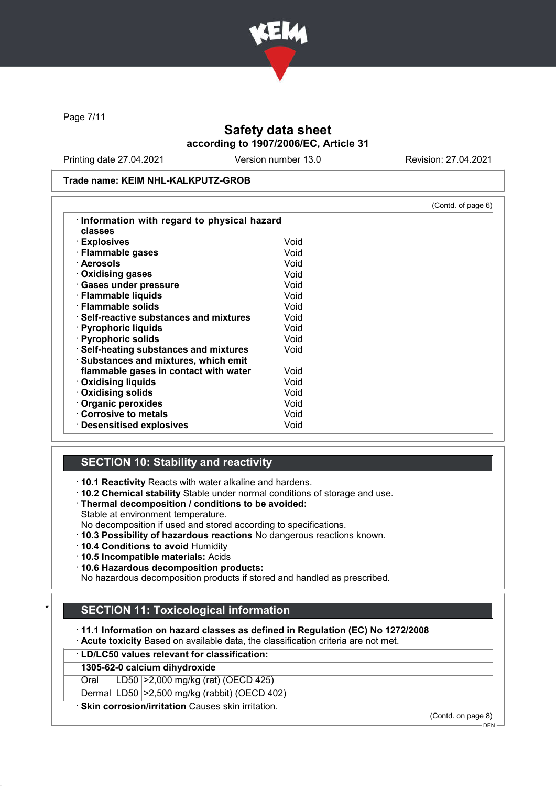

Page 7/11

# Safety data sheet according to 1907/2006/EC, Article 31

Printing date 27.04.2021 Version number 13.0 Revision: 27.04.2021

#### Trade name: KEIM NHL-KALKPUTZ-GROB

|                                               |      | (Contd. of page 6) |
|-----------------------------------------------|------|--------------------|
| Information with regard to physical hazard    |      |                    |
| classes                                       |      |                    |
| · Explosives                                  | Void |                    |
| · Flammable gases                             | Void |                    |
| · Aerosols                                    | Void |                    |
| ⋅ Oxidising gases                             | Void |                    |
| · Gases under pressure                        | Void |                    |
| · Flammable liquids                           | Void |                    |
| $\cdot$ Flammable solids                      | Void |                    |
| $\cdot$ Self-reactive substances and mixtures | Void |                    |
| · Pyrophoric liquids                          | Void |                    |
| · Pyrophoric solids                           | Void |                    |
| · Self-heating substances and mixtures        | Void |                    |
| · Substances and mixtures, which emit         |      |                    |
| flammable gases in contact with water         | Void |                    |
| $\cdot$ Oxidising liquids                     | Void |                    |
| · Oxidising solids                            | Void |                    |
| · Organic peroxides                           | Void |                    |
| Corrosive to metals                           | Void |                    |
| $\cdot$ Desensitised explosives               | Void |                    |

### SECTION 10: Stability and reactivity

· 10.1 Reactivity Reacts with water alkaline and hardens.

- · 10.2 Chemical stability Stable under normal conditions of storage and use.
- · Thermal decomposition / conditions to be avoided:
- Stable at environment temperature.
- No decomposition if used and stored according to specifications.
- · 10.3 Possibility of hazardous reactions No dangerous reactions known.
- · 10.4 Conditions to avoid Humidity
- · 10.5 Incompatible materials: Acids
- · 10.6 Hazardous decomposition products:

No hazardous decomposition products if stored and handled as prescribed.

# **SECTION 11: Toxicological information**

· 11.1 Information on hazard classes as defined in Regulation (EC) No 1272/2008

- · Acute toxicity Based on available data, the classification criteria are not met.
- · LD/LC50 values relevant for classification:

### 1305-62-0 calcium dihydroxide

Oral LD50 >2,000 mg/kg (rat) (OECD 425)

Dermal LD50 >2,500 mg/kg (rabbit) (OECD 402)

· Skin corrosion/irritation Causes skin irritation.

(Contd. on page 8)

 $-$  DEN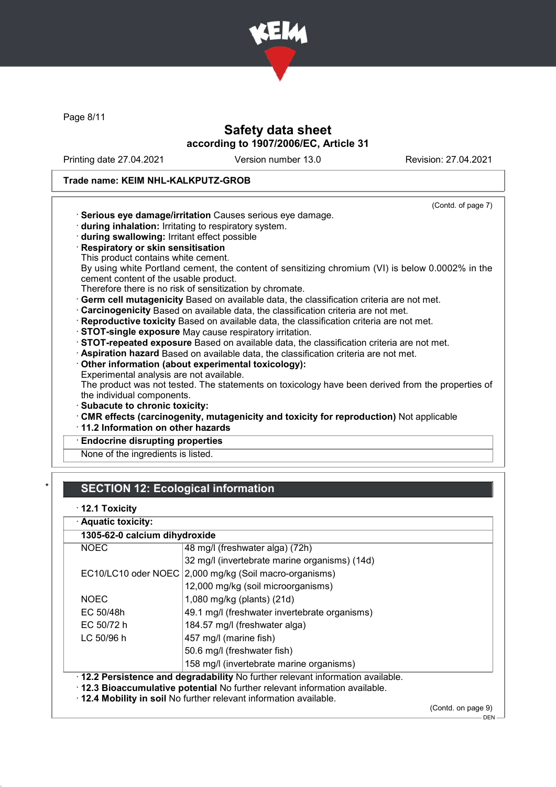

Page 8/11

# Safety data sheet according to 1907/2006/EC, Article 31

Printing date 27.04.2021 Version number 13.0 Revision: 27.04.2021

# Trade name: KEIM NHL-KALKPUTZ-GROB

|                                                                                                   | (Contd. of page 7) |
|---------------------------------------------------------------------------------------------------|--------------------|
| · Serious eye damage/irritation Causes serious eye damage.                                        |                    |
| during inhalation: Irritating to respiratory system.                                              |                    |
| during swallowing: Irritant effect possible                                                       |                    |
| · Respiratory or skin sensitisation                                                               |                    |
| This product contains white cement.                                                               |                    |
| By using white Portland cement, the content of sensitizing chromium (VI) is below 0.0002% in the  |                    |
| cement content of the usable product.                                                             |                    |
| Therefore there is no risk of sensitization by chromate.                                          |                    |
| · Germ cell mutagenicity Based on available data, the classification criteria are not met.        |                    |
| Carcinogenicity Based on available data, the classification criteria are not met.                 |                    |
| · Reproductive toxicity Based on available data, the classification criteria are not met.         |                    |
| · STOT-single exposure May cause respiratory irritation.                                          |                    |
| STOT-repeated exposure Based on available data, the classification criteria are not met.          |                    |
| · Aspiration hazard Based on available data, the classification criteria are not met.             |                    |
| Other information (about experimental toxicology):                                                |                    |
| Experimental analysis are not available.                                                          |                    |
| The product was not tested. The statements on toxicology have been derived from the properties of |                    |
| the individual components.                                                                        |                    |
| · Subacute to chronic toxicity:                                                                   |                    |
| CMR effects (carcinogenity, mutagenicity and toxicity for reproduction) Not applicable            |                    |
| 11.2 Information on other hazards                                                                 |                    |
| <b>Endocrine disrupting properties</b>                                                            |                    |
| None of the ingredients is listed.                                                                |                    |
|                                                                                                   |                    |

# **SECTION 12: Ecological information**

|  |  | 12.1 Toxicity |
|--|--|---------------|
|--|--|---------------|

| · Aquatic toxicity: |                                                                                                                                                                                                                                      |                   |  |
|---------------------|--------------------------------------------------------------------------------------------------------------------------------------------------------------------------------------------------------------------------------------|-------------------|--|
|                     | 1305-62-0 calcium dihydroxide                                                                                                                                                                                                        |                   |  |
| <b>NOEC</b>         | 48 mg/l (freshwater alga) (72h)                                                                                                                                                                                                      |                   |  |
|                     | 32 mg/l (invertebrate marine organisms) (14d)                                                                                                                                                                                        |                   |  |
|                     | EC10/LC10 oder NOEC 2,000 mg/kg (Soil macro-organisms)                                                                                                                                                                               |                   |  |
|                     | 12,000 mg/kg (soil microorganisms)                                                                                                                                                                                                   |                   |  |
| <b>NOEC</b>         | 1,080 mg/kg (plants) (21d)                                                                                                                                                                                                           |                   |  |
| EC 50/48h           | 49.1 mg/l (freshwater invertebrate organisms)                                                                                                                                                                                        |                   |  |
| EC 50/72 h          | 184.57 mg/l (freshwater alga)                                                                                                                                                                                                        |                   |  |
| LC 50/96 h          | 457 mg/l (marine fish)                                                                                                                                                                                                               |                   |  |
|                     | 50.6 mg/l (freshwater fish)                                                                                                                                                                                                          |                   |  |
|                     | 158 mg/l (invertebrate marine organisms)                                                                                                                                                                                             |                   |  |
|                     | . 12.2 Persistence and degradability No further relevant information available.<br>. 12.3 Bioaccumulative potential No further relevant information available.<br>. 12.4 Mobility in soil No further relevant information available. |                   |  |
|                     |                                                                                                                                                                                                                                      | (Contedon page 0) |  |

(Contd. on page 9)  $-$  DEN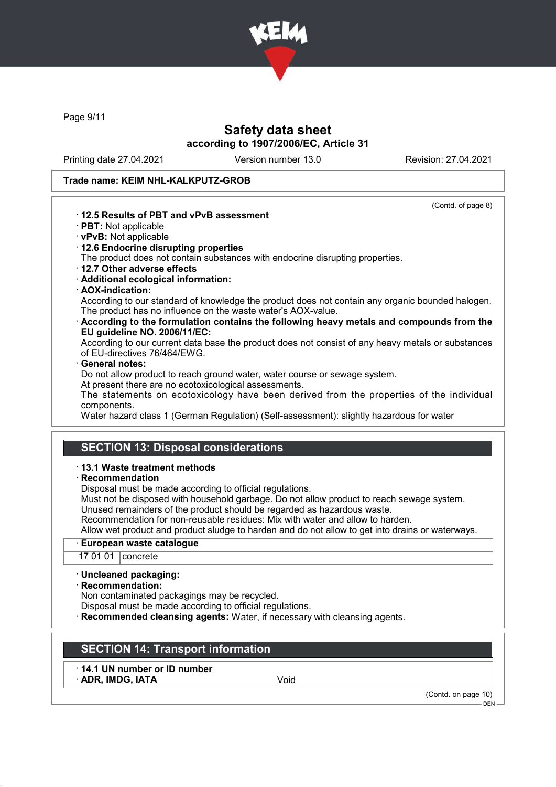

Page 9/11

# Safety data sheet according to 1907/2006/EC, Article 31

Printing date 27.04.2021 Version number 13.0 Revision: 27.04.2021

#### Trade name: KEIM NHL-KALKPUTZ-GROB

(Contd. of page 8)

### · 12.5 Results of PBT and vPvB assessment

- · PBT: Not applicable
- · vPvB: Not applicable
- · 12.6 Endocrine disrupting properties

The product does not contain substances with endocrine disrupting properties.

- · 12.7 Other adverse effects
- · Additional ecological information:
- · AOX-indication:

According to our standard of knowledge the product does not contain any organic bounded halogen. The product has no influence on the waste water's AOX-value.

· According to the formulation contains the following heavy metals and compounds from the EU guideline NO. 2006/11/EC:

According to our current data base the product does not consist of any heavy metals or substances of EU-directives 76/464/EWG.

#### General notes:

Do not allow product to reach ground water, water course or sewage system.

At present there are no ecotoxicological assessments.

The statements on ecotoxicology have been derived from the properties of the individual components.

Water hazard class 1 (German Regulation) (Self-assessment): slightly hazardous for water

### SECTION 13: Disposal considerations

#### · 13.1 Waste treatment methods

· Recommendation

Disposal must be made according to official regulations.

Must not be disposed with household garbage. Do not allow product to reach sewage system. Unused remainders of the product should be regarded as hazardous waste.

Recommendation for non-reusable residues: Mix with water and allow to harden.

Allow wet product and product sludge to harden and do not allow to get into drains or waterways.

#### European waste catalogue

17 01 01 concrete

#### · Uncleaned packaging:

· Recommendation:

Non contaminated packagings may be recycled.

Disposal must be made according to official regulations.

Recommended cleansing agents: Water, if necessary with cleansing agents.

### SECTION 14: Transport information

· 14.1 UN number or ID number ADR, IMDG, IATA Void

(Contd. on page 10)

DEN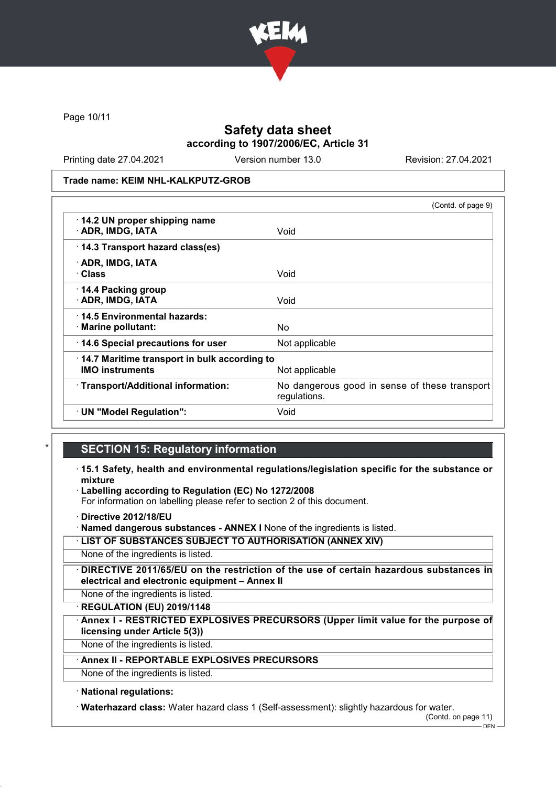

Page 10/11

# Safety data sheet according to 1907/2006/EC, Article 31

Printing date 27.04.2021 Version number 13.0 Revision: 27.04.2021

Trade name: KEIM NHL-KALKPUTZ-GROB

|                                                                        | (Contd. of page 9)                                            |
|------------------------------------------------------------------------|---------------------------------------------------------------|
| 14.2 UN proper shipping name<br>· ADR, IMDG, IATA                      | Void                                                          |
| 14.3 Transport hazard class(es)                                        |                                                               |
| · ADR, IMDG, IATA<br>· Class                                           | Void                                                          |
| 14.4 Packing group<br>· ADR, IMDG, IATA                                | Void                                                          |
| 14.5 Environmental hazards:<br>$\cdot$ Marine pollutant:               | No                                                            |
| 14.6 Special precautions for user                                      | Not applicable                                                |
| 14.7 Maritime transport in bulk according to<br><b>IMO instruments</b> | Not applicable                                                |
| · Transport/Additional information:                                    | No dangerous good in sense of these transport<br>regulations. |
| · UN "Model Regulation":                                               | Void                                                          |

### **SECTION 15: Regulatory information**

- · 15.1 Safety, health and environmental regulations/legislation specific for the substance or mixture
- Labelling according to Regulation (EC) No 1272/2008

For information on labelling please refer to section 2 of this document.

· Directive 2012/18/EU

· Named dangerous substances - ANNEX I None of the ingredients is listed.

· LIST OF SUBSTANCES SUBJECT TO AUTHORISATION (ANNEX XIV)

None of the ingredients is listed.

· DIRECTIVE 2011/65/EU on the restriction of the use of certain hazardous substances in electrical and electronic equipment – Annex II

None of the ingredients is listed.

· REGULATION (EU) 2019/1148

Annex I - RESTRICTED EXPLOSIVES PRECURSORS (Upper limit value for the purpose of licensing under Article 5(3))

None of the ingredients is listed.

# Annex II - REPORTABLE EXPLOSIVES PRECURSORS

None of the ingredients is listed.

#### · National regulations:

· Waterhazard class: Water hazard class 1 (Self-assessment): slightly hazardous for water.

(Contd. on page 11)